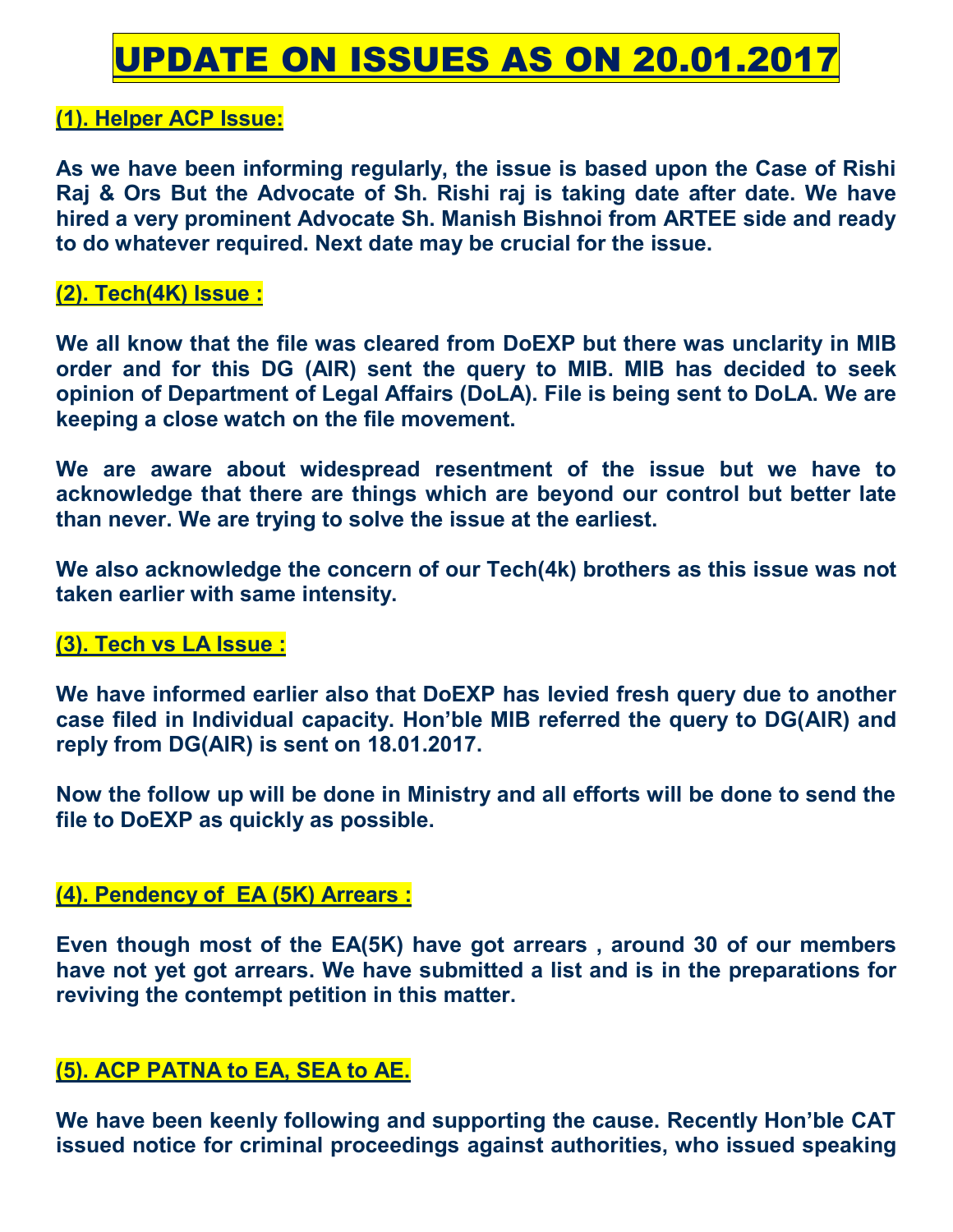# UPDATE ON ISSUES AS ON 20.01.2017

# **(1). Helper ACP Issue:**

**As we have been informing regularly, the issue is based upon the Case of Rishi Raj & Ors But the Advocate of Sh. Rishi raj is taking date after date. We have hired a very prominent Advocate Sh. Manish Bishnoi from ARTEE side and ready to do whatever required. Next date may be crucial for the issue.** 

# **(2). Tech(4K) Issue :**

**We all know that the file was cleared from DoEXP but there was unclarity in MIB order and for this DG (AIR) sent the query to MIB. MIB has decided to seek opinion of Department of Legal Affairs (DoLA). File is being sent to DoLA. We are keeping a close watch on the file movement.** 

**We are aware about widespread resentment of the issue but we have to acknowledge that there are things which are beyond our control but better late than never. We are trying to solve the issue at the earliest.** 

**We also acknowledge the concern of our Tech(4k) brothers as this issue was not taken earlier with same intensity.** 

# **(3). Tech vs LA Issue :**

**We have informed earlier also that DoEXP has levied fresh query due to another case filed in Individual capacity. Hon'ble MIB referred the query to DG(AIR) and reply from DG(AIR) is sent on 18.01.2017.** 

**Now the follow up will be done in Ministry and all efforts will be done to send the file to DoEXP as quickly as possible.** 

# **(4). Pendency of EA (5K) Arrears :**

**Even though most of the EA(5K) have got arrears , around 30 of our members have not yet got arrears. We have submitted a list and is in the preparations for reviving the contempt petition in this matter.** 

# **(5). ACP PATNA to EA, SEA to AE.**

**We have been keenly following and supporting the cause. Recently Hon'ble CAT issued notice for criminal proceedings against authorities, who issued speaking**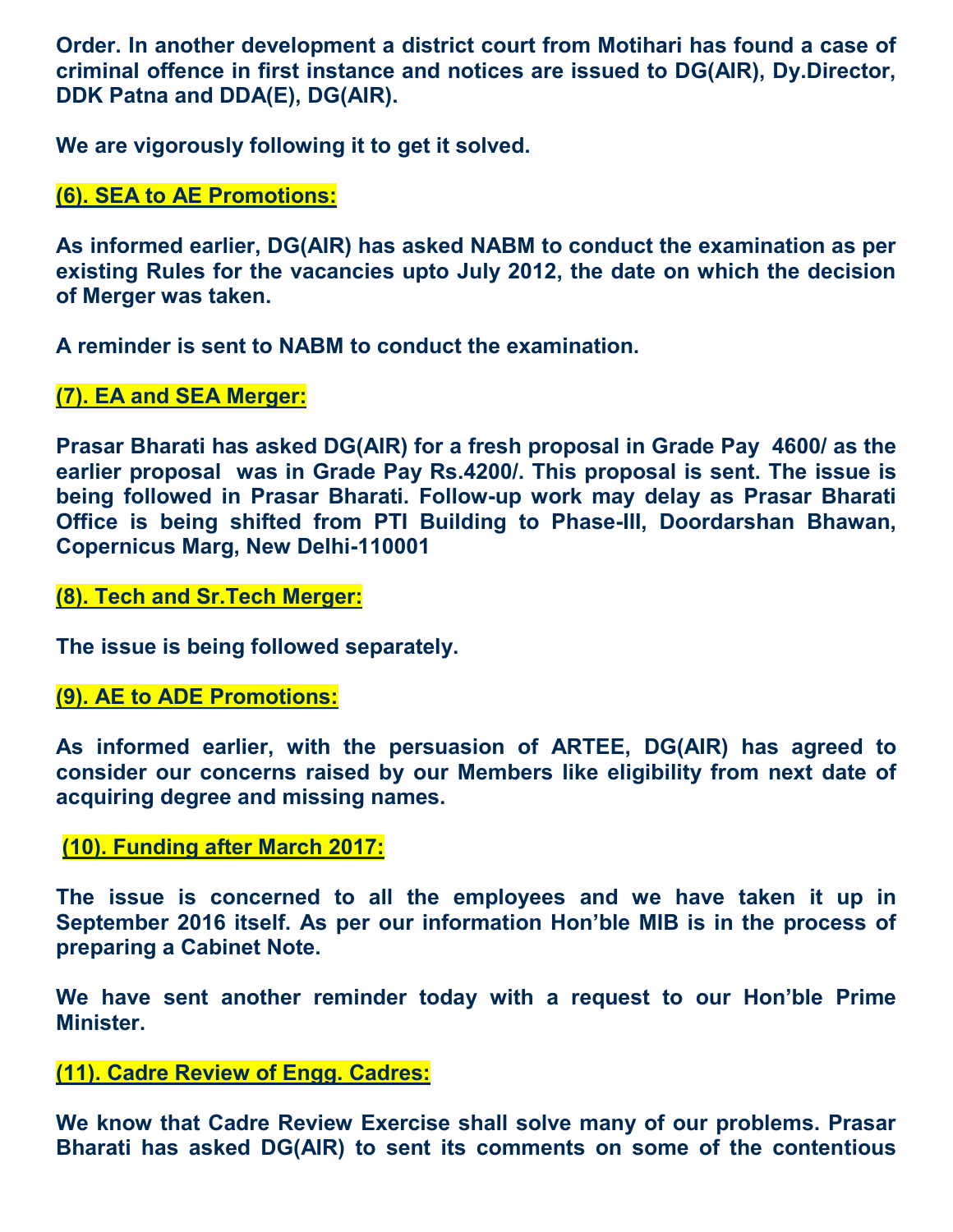**Order. In another development a district court from Motihari has found a case of criminal offence in first instance and notices are issued to DG(AIR), Dy.Director, DDK Patna and DDA(E), DG(AIR).** 

**We are vigorously following it to get it solved.** 

# **(6). SEA to AE Promotions:**

**As informed earlier, DG(AIR) has asked NABM to conduct the examination as per existing Rules for the vacancies upto July 2012, the date on which the decision of Merger was taken.** 

**A reminder is sent to NABM to conduct the examination.** 

# **(7). EA and SEA Merger:**

**Prasar Bharati has asked DG(AIR) for a fresh proposal in Grade Pay 4600/ as the earlier proposal was in Grade Pay Rs.4200/. This proposal is sent. The issue is being followed in Prasar Bharati. Follow-up work may delay as Prasar Bharati Office is being shifted from PTI Building to Phase-III, Doordarshan Bhawan, Copernicus Marg, New Delhi-110001**

#### **(8). Tech and Sr.Tech Merger:**

**The issue is being followed separately.** 

# **(9). AE to ADE Promotions:**

**As informed earlier, with the persuasion of ARTEE, DG(AIR) has agreed to consider our concerns raised by our Members like eligibility from next date of acquiring degree and missing names.** 

# **(10). Funding after March 2017:**

**The issue is concerned to all the employees and we have taken it up in September 2016 itself. As per our information Hon'ble MIB is in the process of preparing a Cabinet Note.** 

**We have sent another reminder today with a request to our Hon'ble Prime Minister.** 

# **(11). Cadre Review of Engg. Cadres:**

**We know that Cadre Review Exercise shall solve many of our problems. Prasar Bharati has asked DG(AIR) to sent its comments on some of the contentious**